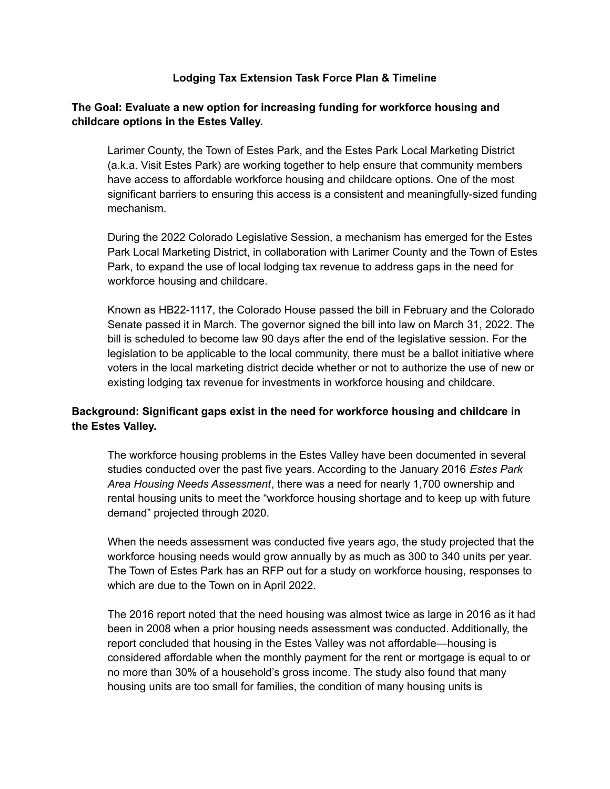#### **Lodging Tax Extension Task Force Plan & Timeline**

#### **The Goal: Evaluate a new option for increasing funding for workforce housing and childcare options in the Estes Valley.**

Larimer County, the Town of Estes Park, and the Estes Park Local Marketing District (a.k.a. Visit Estes Park) are working together to help ensure that community members have access to affordable workforce housing and childcare options. One of the most significant barriers to ensuring this access is a consistent and meaningfully-sized funding mechanism.

During the 2022 Colorado Legislative Session, a mechanism has emerged for the Estes Park Local Marketing District, in collaboration with Larimer County and the Town of Estes Park, to expand the use of local lodging tax revenue to address gaps in the need for workforce housing and childcare.

Known as HB22-1117, the Colorado House passed the bill in February and the Colorado Senate passed it in March. The governor signed the bill into law on March 31, 2022. The bill is scheduled to become law 90 days after the end of the legislative session. For the legislation to be applicable to the local community, there must be a ballot initiative where voters in the local marketing district decide whether or not to authorize the use of new or existing lodging tax revenue for investments in workforce housing and childcare.

### **Background: Significant gaps exist in the need for workforce housing and childcare in the Estes Valley.**

The workforce housing problems in the Estes Valley have been documented in several studies conducted over the past five years. According to the January 2016 *Estes Park Area Housing Needs Assessment*, there was a need for nearly 1,700 ownership and rental housing units to meet the "workforce housing shortage and to keep up with future demand" projected through 2020.

When the needs assessment was conducted five years ago, the study projected that the workforce housing needs would grow annually by as much as 300 to 340 units per year. The Town of Estes Park has an RFP out for a study on workforce housing, responses to which are due to the Town on in April 2022.

The 2016 report noted that the need housing was almost twice as large in 2016 as it had been in 2008 when a prior housing needs assessment was conducted. Additionally, the report concluded that housing in the Estes Valley was not affordable—housing is considered affordable when the monthly payment for the rent or mortgage is equal to or no more than 30% of a household's gross income. The study also found that many housing units are too small for families, the condition of many housing units is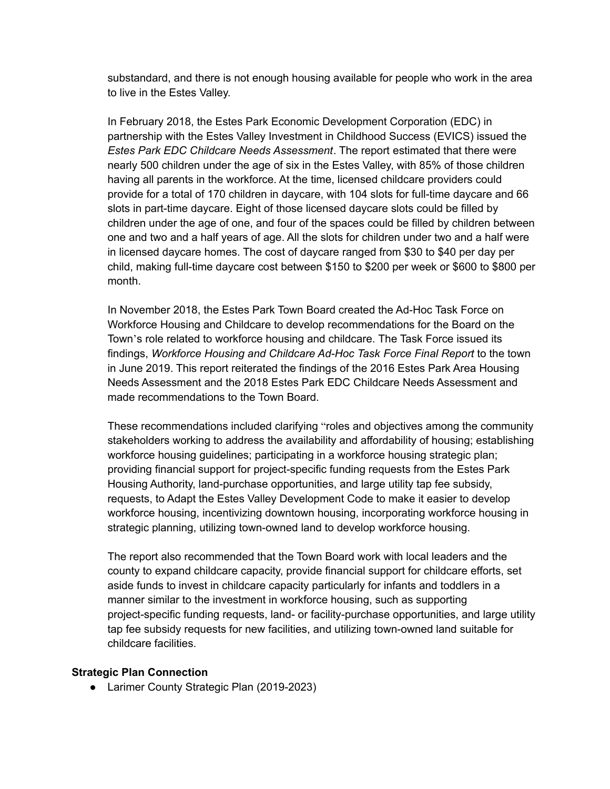substandard, and there is not enough housing available for people who work in the area to live in the Estes Valley.

In February 2018, the Estes Park Economic Development Corporation (EDC) in partnership with the Estes Valley Investment in Childhood Success (EVICS) issued the *Estes Park EDC Childcare Needs Assessment*. The report estimated that there were nearly 500 children under the age of six in the Estes Valley, with 85% of those children having all parents in the workforce. At the time, licensed childcare providers could provide for a total of 170 children in daycare, with 104 slots for full-time daycare and 66 slots in part-time daycare. Eight of those licensed daycare slots could be filled by children under the age of one, and four of the spaces could be filled by children between one and two and a half years of age. All the slots for children under two and a half were in licensed daycare homes. The cost of daycare ranged from \$30 to \$40 per day per child, making full-time daycare cost between \$150 to \$200 per week or \$600 to \$800 per month.

In November 2018, the Estes Park Town Board created the Ad-Hoc Task Force on Workforce Housing and Childcare to develop recommendations for the Board on the Town's role related to workforce housing and childcare. The Task Force issued its findings, *Workforce Housing and Childcare Ad-Hoc Task Force Final Report* to the town in June 2019. This report reiterated the findings of the 2016 Estes Park Area Housing Needs Assessment and the 2018 Estes Park EDC Childcare Needs Assessment and made recommendations to the Town Board.

These recommendations included clarifying "roles and objectives among the community stakeholders working to address the availability and affordability of housing; establishing workforce housing guidelines; participating in a workforce housing strategic plan; providing financial support for project-specific funding requests from the Estes Park Housing Authority, land-purchase opportunities, and large utility tap fee subsidy, requests, to Adapt the Estes Valley Development Code to make it easier to develop workforce housing, incentivizing downtown housing, incorporating workforce housing in strategic planning, utilizing town-owned land to develop workforce housing.

The report also recommended that the Town Board work with local leaders and the county to expand childcare capacity, provide financial support for childcare efforts, set aside funds to invest in childcare capacity particularly for infants and toddlers in a manner similar to the investment in workforce housing, such as supporting project-specific funding requests, land- or facility-purchase opportunities, and large utility tap fee subsidy requests for new facilities, and utilizing town-owned land suitable for childcare facilities.

#### **Strategic Plan Connection**

● Larimer County Strategic Plan (2019-2023)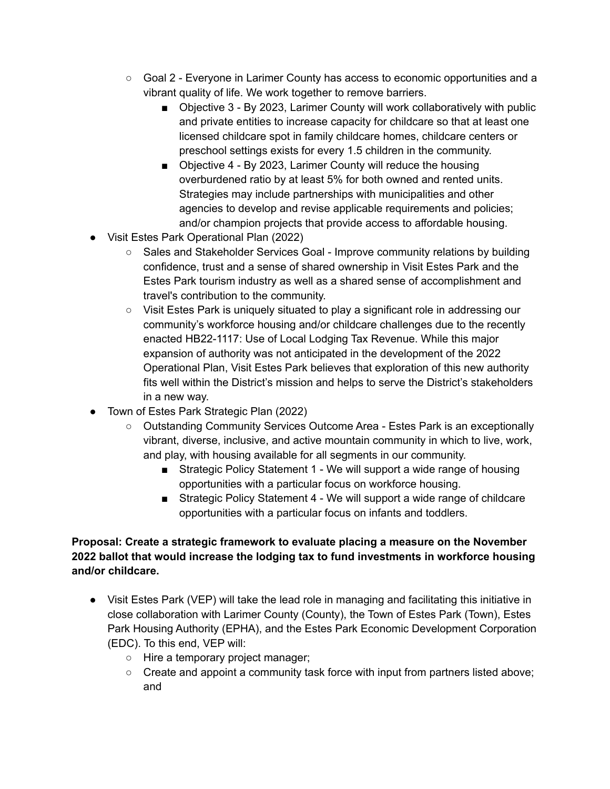- Goal 2 Everyone in Larimer County has access to economic opportunities and a vibrant quality of life. We work together to remove barriers.
	- Objective 3 By 2023, Larimer County will work collaboratively with public and private entities to increase capacity for childcare so that at least one licensed childcare spot in family childcare homes, childcare centers or preschool settings exists for every 1.5 children in the community.
	- Objective 4 By 2023, Larimer County will reduce the housing overburdened ratio by at least 5% for both owned and rented units. Strategies may include partnerships with municipalities and other agencies to develop and revise applicable requirements and policies; and/or champion projects that provide access to affordable housing.
- Visit Estes Park Operational Plan (2022)
	- Sales and Stakeholder Services Goal Improve community relations by building confidence, trust and a sense of shared ownership in Visit Estes Park and the Estes Park tourism industry as well as a shared sense of accomplishment and travel's contribution to the community.
	- Visit Estes Park is uniquely situated to play a significant role in addressing our community's workforce housing and/or childcare challenges due to the recently enacted HB22-1117: Use of Local Lodging Tax Revenue. While this major expansion of authority was not anticipated in the development of the 2022 Operational Plan, Visit Estes Park believes that exploration of this new authority fits well within the District's mission and helps to serve the District's stakeholders in a new way.
- Town of Estes Park Strategic Plan (2022)
	- Outstanding Community Services Outcome Area Estes Park is an exceptionally vibrant, diverse, inclusive, and active mountain community in which to live, work, and play, with housing available for all segments in our community.
		- Strategic Policy Statement 1 We will support a wide range of housing opportunities with a particular focus on workforce housing.
		- Strategic Policy Statement 4 We will support a wide range of childcare opportunities with a particular focus on infants and toddlers.

## **Proposal: Create a strategic framework to evaluate placing a measure on the November 2022 ballot that would increase the lodging tax to fund investments in workforce housing and/or childcare.**

- Visit Estes Park (VEP) will take the lead role in managing and facilitating this initiative in close collaboration with Larimer County (County), the Town of Estes Park (Town), Estes Park Housing Authority (EPHA), and the Estes Park Economic Development Corporation (EDC). To this end, VEP will:
	- Hire a temporary project manager;
	- Create and appoint a community task force with input from partners listed above; and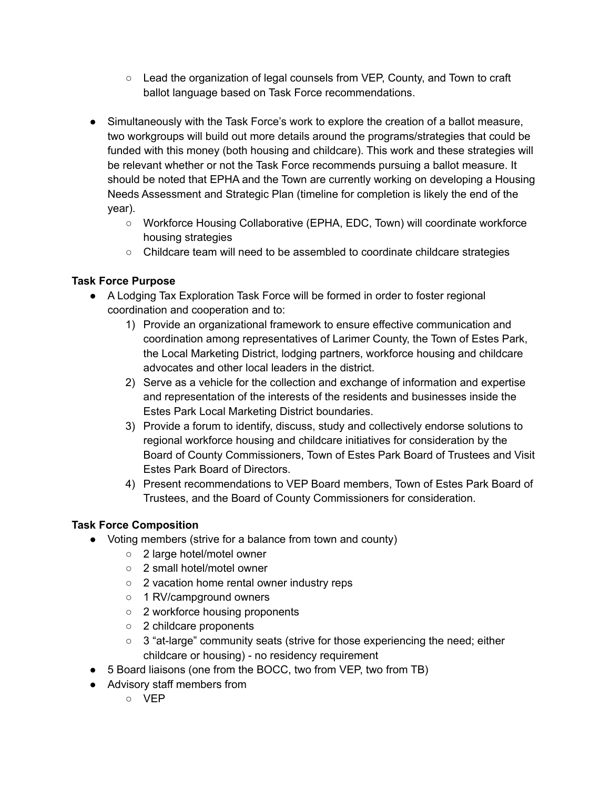- Lead the organization of legal counsels from VEP, County, and Town to craft ballot language based on Task Force recommendations.
- Simultaneously with the Task Force's work to explore the creation of a ballot measure, two workgroups will build out more details around the programs/strategies that could be funded with this money (both housing and childcare). This work and these strategies will be relevant whether or not the Task Force recommends pursuing a ballot measure. It should be noted that EPHA and the Town are currently working on developing a Housing Needs Assessment and Strategic Plan (timeline for completion is likely the end of the year).
	- Workforce Housing Collaborative (EPHA, EDC, Town) will coordinate workforce housing strategies
	- Childcare team will need to be assembled to coordinate childcare strategies

## **Task Force Purpose**

- A Lodging Tax Exploration Task Force will be formed in order to foster regional coordination and cooperation and to:
	- 1) Provide an organizational framework to ensure effective communication and coordination among representatives of Larimer County, the Town of Estes Park, the Local Marketing District, lodging partners, workforce housing and childcare advocates and other local leaders in the district.
	- 2) Serve as a vehicle for the collection and exchange of information and expertise and representation of the interests of the residents and businesses inside the Estes Park Local Marketing District boundaries.
	- 3) Provide a forum to identify, discuss, study and collectively endorse solutions to regional workforce housing and childcare initiatives for consideration by the Board of County Commissioners, Town of Estes Park Board of Trustees and Visit Estes Park Board of Directors.
	- 4) Present recommendations to VEP Board members, Town of Estes Park Board of Trustees, and the Board of County Commissioners for consideration.

# **Task Force Composition**

- Voting members (strive for a balance from town and county)
	- 2 large hotel/motel owner
	- 2 small hotel/motel owner
	- 2 vacation home rental owner industry reps
	- 1 RV/campground owners
	- 2 workforce housing proponents
	- 2 childcare proponents
	- 3 "at-large" community seats (strive for those experiencing the need; either childcare or housing) - no residency requirement
- 5 Board liaisons (one from the BOCC, two from VEP, two from TB)
- Advisory staff members from
	- VEP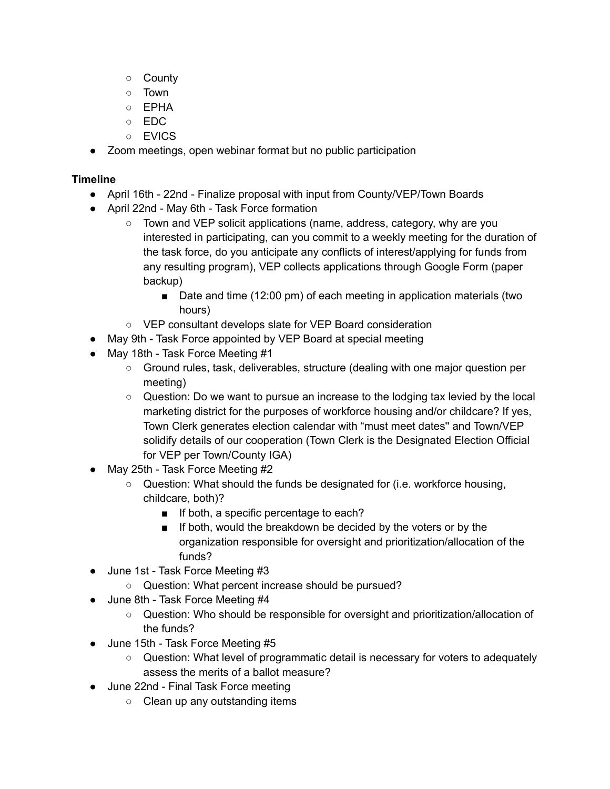- County
- Town
- EPHA
- EDC
- EVICS
- Zoom meetings, open webinar format but no public participation

## **Timeline**

- April 16th 22nd Finalize proposal with input from County/VEP/Town Boards
- April 22nd May 6th Task Force formation
	- Town and VEP solicit applications (name, address, category, why are you interested in participating, can you commit to a weekly meeting for the duration of the task force, do you anticipate any conflicts of interest/applying for funds from any resulting program), VEP collects applications through Google Form (paper backup)
		- Date and time (12:00 pm) of each meeting in application materials (two hours)
	- VEP consultant develops slate for VEP Board consideration
- May 9th Task Force appointed by VEP Board at special meeting
- May 18th Task Force Meeting #1
	- Ground rules, task, deliverables, structure (dealing with one major question per meeting)
	- $\circ$  Question: Do we want to pursue an increase to the lodging tax levied by the local marketing district for the purposes of workforce housing and/or childcare? If yes, Town Clerk generates election calendar with "must meet dates'' and Town/VEP solidify details of our cooperation (Town Clerk is the Designated Election Official for VEP per Town/County IGA)
- May 25th Task Force Meeting #2
	- $\circ$  Question: What should the funds be designated for (i.e. workforce housing, childcare, both)?
		- If both, a specific percentage to each?
		- If both, would the breakdown be decided by the voters or by the organization responsible for oversight and prioritization/allocation of the funds?
- June 1st Task Force Meeting #3
	- Question: What percent increase should be pursued?
- June 8th Task Force Meeting #4
	- Question: Who should be responsible for oversight and prioritization/allocation of the funds?
- June 15th Task Force Meeting #5
	- Question: What level of programmatic detail is necessary for voters to adequately assess the merits of a ballot measure?
- June 22nd Final Task Force meeting
	- Clean up any outstanding items